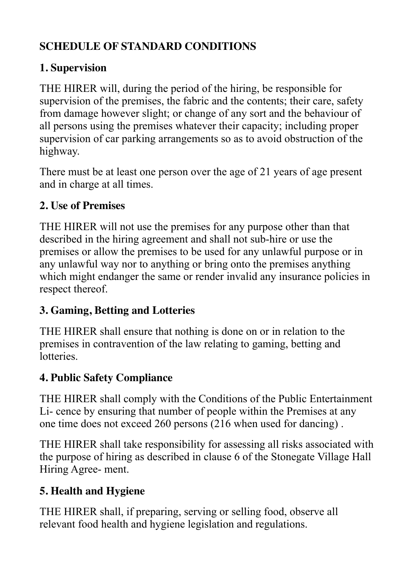## **SCHEDULE OF STANDARD CONDITIONS**

# **1. Supervision**

THE HIRER will, during the period of the hiring, be responsible for supervision of the premises, the fabric and the contents; their care, safety from damage however slight; or change of any sort and the behaviour of all persons using the premises whatever their capacity; including proper supervision of car parking arrangements so as to avoid obstruction of the highway.

There must be at least one person over the age of 21 years of age present and in charge at all times.

## **2. Use of Premises**

THE HIRER will not use the premises for any purpose other than that described in the hiring agreement and shall not sub-hire or use the premises or allow the premises to be used for any unlawful purpose or in any unlawful way nor to anything or bring onto the premises anything which might endanger the same or render invalid any insurance policies in respect thereof.

## **3. Gaming, Betting and Lotteries**

THE HIRER shall ensure that nothing is done on or in relation to the premises in contravention of the law relating to gaming, betting and lotteries.

# **4. Public Safety Compliance**

THE HIRER shall comply with the Conditions of the Public Entertainment Li- cence by ensuring that number of people within the Premises at any one time does not exceed 260 persons (216 when used for dancing) .

THE HIRER shall take responsibility for assessing all risks associated with the purpose of hiring as described in clause 6 of the Stonegate Village Hall Hiring Agree- ment.

# **5. Health and Hygiene**

THE HIRER shall, if preparing, serving or selling food, observe all relevant food health and hygiene legislation and regulations.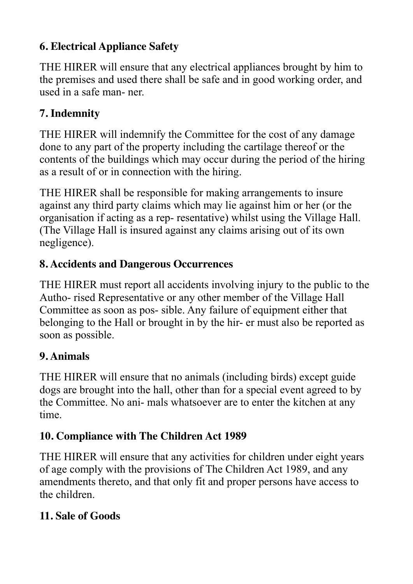## **6. Electrical Appliance Safety**

THE HIRER will ensure that any electrical appliances brought by him to the premises and used there shall be safe and in good working order, and used in a safe man- ner.

## **7. Indemnity**

THE HIRER will indemnify the Committee for the cost of any damage done to any part of the property including the cartilage thereof or the contents of the buildings which may occur during the period of the hiring as a result of or in connection with the hiring.

THE HIRER shall be responsible for making arrangements to insure against any third party claims which may lie against him or her (or the organisation if acting as a rep- resentative) whilst using the Village Hall. (The Village Hall is insured against any claims arising out of its own negligence).

#### **8. Accidents and Dangerous Occurrences**

THE HIRER must report all accidents involving injury to the public to the Autho- rised Representative or any other member of the Village Hall Committee as soon as pos- sible. Any failure of equipment either that belonging to the Hall or brought in by the hir- er must also be reported as soon as possible.

## **9. Animals**

THE HIRER will ensure that no animals (including birds) except guide dogs are brought into the hall, other than for a special event agreed to by the Committee. No ani- mals whatsoever are to enter the kitchen at any time.

# **10. Compliance with The Children Act 1989**

THE HIRER will ensure that any activities for children under eight years of age comply with the provisions of The Children Act 1989, and any amendments thereto, and that only fit and proper persons have access to the children.

## **11. Sale of Goods**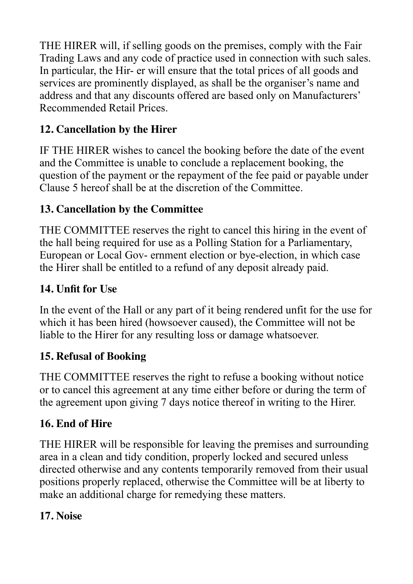THE HIRER will, if selling goods on the premises, comply with the Fair Trading Laws and any code of practice used in connection with such sales. In particular, the Hir- er will ensure that the total prices of all goods and services are prominently displayed, as shall be the organiser's name and address and that any discounts offered are based only on Manufacturers' Recommended Retail Prices.

## **12. Cancellation by the Hirer**

IF THE HIRER wishes to cancel the booking before the date of the event and the Committee is unable to conclude a replacement booking, the question of the payment or the repayment of the fee paid or payable under Clause 5 hereof shall be at the discretion of the Committee.

## **13. Cancellation by the Committee**

THE COMMITTEE reserves the right to cancel this hiring in the event of the hall being required for use as a Polling Station for a Parliamentary, European or Local Gov- ernment election or bye-election, in which case the Hirer shall be entitled to a refund of any deposit already paid.

# **14. Unfit for Use**

In the event of the Hall or any part of it being rendered unfit for the use for which it has been hired (howsoever caused), the Committee will not be liable to the Hirer for any resulting loss or damage whatsoever.

## **15. Refusal of Booking**

THE COMMITTEE reserves the right to refuse a booking without notice or to cancel this agreement at any time either before or during the term of the agreement upon giving 7 days notice thereof in writing to the Hirer.

## **16. End of Hire**

THE HIRER will be responsible for leaving the premises and surrounding area in a clean and tidy condition, properly locked and secured unless directed otherwise and any contents temporarily removed from their usual positions properly replaced, otherwise the Committee will be at liberty to make an additional charge for remedying these matters.

## **17. Noise**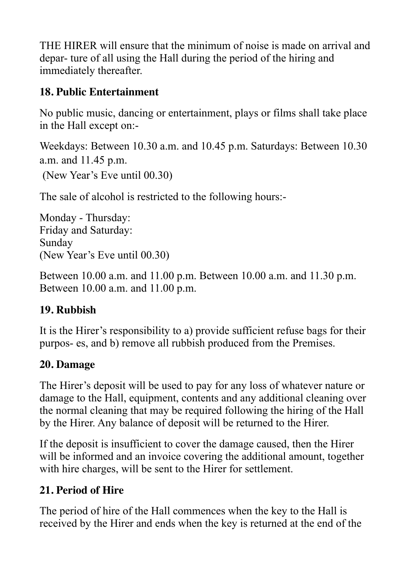THE HIRER will ensure that the minimum of noise is made on arrival and depar- ture of all using the Hall during the period of the hiring and immediately thereafter.

#### **18. Public Entertainment**

No public music, dancing or entertainment, plays or films shall take place in the Hall except on:-

Weekdays: Between 10.30 a.m. and 10.45 p.m. Saturdays: Between 10.30 a.m. and 11.45 p.m. (New Year's Eve until 00.30)

The sale of alcohol is restricted to the following hours:-

Monday - Thursday: Friday and Saturday: Sunday (New Year's Eve until 00.30)

Between 10.00 a.m. and 11.00 p.m. Between 10.00 a.m. and 11.30 p.m. Between 10.00 a.m. and 11.00 p.m.

#### **19. Rubbish**

It is the Hirer's responsibility to a) provide sufficient refuse bags for their purpos- es, and b) remove all rubbish produced from the Premises.

#### **20. Damage**

The Hirer's deposit will be used to pay for any loss of whatever nature or damage to the Hall, equipment, contents and any additional cleaning over the normal cleaning that may be required following the hiring of the Hall by the Hirer. Any balance of deposit will be returned to the Hirer.

If the deposit is insufficient to cover the damage caused, then the Hirer will be informed and an invoice covering the additional amount, together with hire charges, will be sent to the Hirer for settlement.

## **21. Period of Hire**

The period of hire of the Hall commences when the key to the Hall is received by the Hirer and ends when the key is returned at the end of the